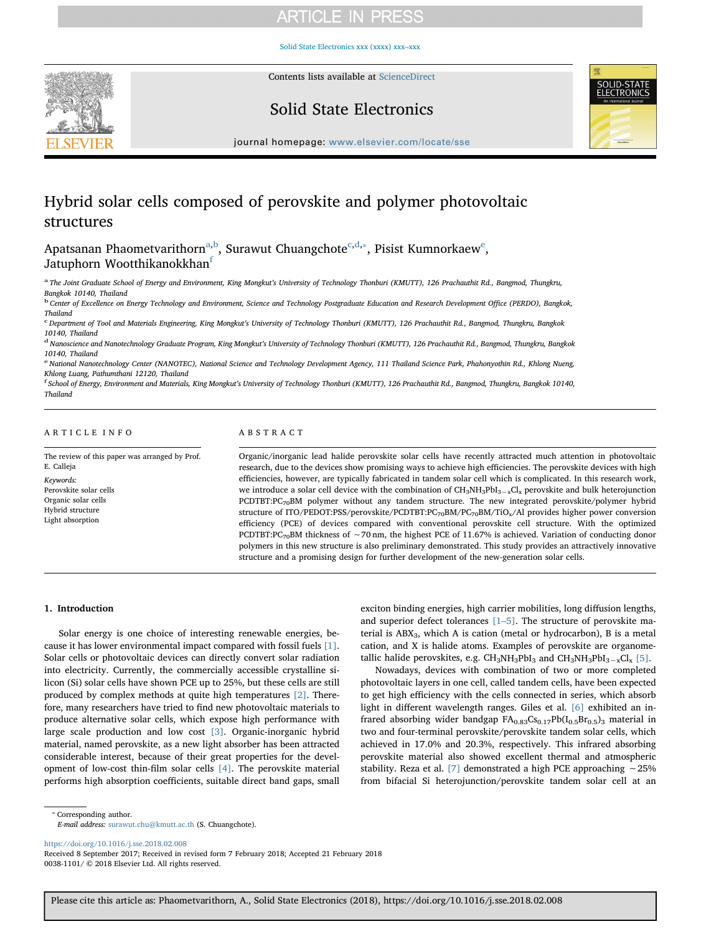## **ARTICLE IN PRESS**

[Solid State Electronics xxx \(xxxx\) xxx–xxx](https://doi.org/10.1016/j.sse.2018.02.008)



Contents lists available at [ScienceDirect](http://www.sciencedirect.com/science/journal/00381101)

### Solid State Electronics



journal homepage: [www.elsevier.com/locate/sse](https://www.elsevier.com/locate/sse)

# Hybrid solar cells composed of perovskite and polymer photovoltaic structures

Apatsanan Phaometvarithorn<sup>a,b</sup>, Surawut Chuangchote<sup>c,d,</sup>\*, Pisist Kumnorkaew<sup>e</sup>, Jatuphorn Wootthikanokkhan<sup>f</sup>

a The Joint Graduate School of Energy and Environment, King Mongkut's University of Technology Thonburi (KMUTT), 126 Prachauthit Rd., Bangmod, Thungkru, Bangkok 10140, Thailand

<sup>b</sup> Center of Excellence on Energy Technology and Environment, Science and Technology Postgraduate Education and Research Development Office (PERDO), Bangkok, Thailand

<sup>c</sup> Department of Tool and Materials Engineering, King Mongkut's University of Technology Thonburi (KMUTT), 126 Prachauthit Rd., Bangmod, Thungkru, Bangkok 10140, Thailand

<sup>d</sup> Nanoscience and Nanotechnology Graduate Program, King Mongkut's University of Technology Thonburi (KMUTT), 126 Prachauthit Rd., Bangmod, Thungkru, Bangkok

10140, Thailand e National Nanotechnology Center (NANOTEC), National Science and Technology Development Agency, 111 Thailand Science Park, Phahonyothin Rd., Khlong Nueng,

Khlong Luang, Pathumthani 12120, Thailand f School of Energy, Environment and Materials, King Mongkut's University of Technology Thonburi (KMUTT), 126 Prachauthit Rd., Bangmod, Thungkru, Bangkok 10140, Thailand

#### ARTICLE INFO

The review of this paper was arranged by Prof. E. Calleja Keywords: Perovskite solar cells Organic solar cells Hybrid structure Light absorption

### ABSTRACT

Organic/inorganic lead halide perovskite solar cells have recently attracted much attention in photovoltaic research, due to the devices show promising ways to achieve high efficiencies. The perovskite devices with high efficiencies, however, are typically fabricated in tandem solar cell which is complicated. In this research work, we introduce a solar cell device with the combination of CH<sub>3</sub>NH<sub>3</sub>PbI<sub>3−x</sub>Cl<sub>x</sub> perovskite and bulk heterojunction PCDTBT:PC70BM polymer without any tandem structure. The new integrated perovskite/polymer hybrid structure of ITO/PEDOT:PSS/perovskite/PCDTBT:PC70BM/PC70BM/TiOx/Al provides higher power conversion efficiency (PCE) of devices compared with conventional perovskite cell structure. With the optimized PCDTBT:PC<sub>70</sub>BM thickness of ∼70 nm, the highest PCE of 11.67% is achieved. Variation of conducting donor polymers in this new structure is also preliminary demonstrated. This study provides an attractively innovative structure and a promising design for further development of the new-generation solar cells.

#### 1. Introduction

Solar energy is one choice of interesting renewable energies, because it has lower environmental impact compared with fossil fuels [1]. Solar cells or photovoltaic devices can directly convert solar radiation into electricity. Currently, the commercially accessible crystalline silicon (Si) solar cells have shown PCE up to 25%, but these cells are still produced by complex methods at quite high temperatures [2]. Therefore, many researchers have tried to find new photovoltaic materials to produce alternative solar cells, which expose high performance with large scale production and low cost [3]. Organic-inorganic hybrid material, named perovskite, as a new light absorber has been attracted considerable interest, because of their great properties for the development of low-cost thin-film solar cells [4]. The perovskite material performs high absorption coefficients, suitable direct band gaps, small

exciton binding energies, high carrier mobilities, long diffusion lengths, and superior defect tolerances  $[1–5]$ . The structure of perovskite material is  $ABX_3$ , which A is cation (metal or hydrocarbon), B is a metal cation, and X is halide atoms. Examples of perovskite are organometallic halide perovskites, e.g. CH<sub>3</sub>NH<sub>3</sub>PbI<sub>3</sub> and CH<sub>3</sub>NH<sub>3</sub>PbI<sub>3</sub><sub>-x</sub>Cl<sub>x</sub> [5].

Nowadays, devices with combination of two or more completed photovoltaic layers in one cell, called tandem cells, have been expected to get high efficiency with the cells connected in series, which absorb light in different wavelength ranges. Giles et al. [6] exhibited an infrared absorbing wider bandgap  $FA_{0.83}Cs_{0.17}Pb(I_{0.5}Br_{0.5})$ <sub>3</sub> material in two and four-terminal perovskite/perovskite tandem solar cells, which achieved in 17.0% and 20.3%, respectively. This infrared absorbing perovskite material also showed excellent thermal and atmospheric stability. Reza et al. [7] demonstrated a high PCE approaching ∼25% from bifacial Si heterojunction/perovskite tandem solar cell at an

⁎ Corresponding author.

E-mail address: [surawut.chu@kmutt.ac.th](mailto:surawut.chu@kmutt.ac.th) (S. Chuangchote).

<https://doi.org/10.1016/j.sse.2018.02.008>

Received 8 September 2017; Received in revised form 7 February 2018; Accepted 21 February 2018 0038-1101/ © 2018 Elsevier Ltd. All rights reserved.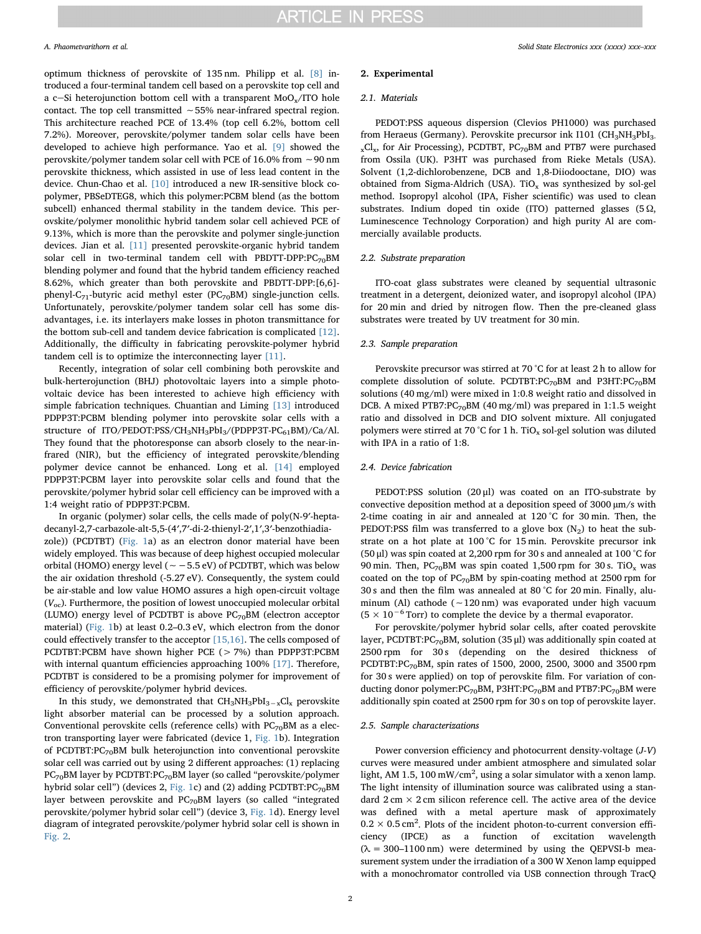optimum thickness of perovskite of 135 nm. Philipp et al. [8] introduced a four-terminal tandem cell based on a perovskite top cell and a c-Si heterojunction bottom cell with a transparent  $MoO<sub>x</sub>/ITO$  hole contact. The top cell transmitted ∼55% near-infrared spectral region. This architecture reached PCE of 13.4% (top cell 6.2%, bottom cell 7.2%). Moreover, perovskite/polymer tandem solar cells have been developed to achieve high performance. Yao et al. [9] showed the perovskite/polymer tandem solar cell with PCE of 16.0% from ∼90 nm perovskite thickness, which assisted in use of less lead content in the device. Chun-Chao et al. [10] introduced a new IR-sensitive block copolymer, PBSeDTEG8, which this polymer:PCBM blend (as the bottom subcell) enhanced thermal stability in the tandem device. This perovskite/polymer monolithic hybrid tandem solar cell achieved PCE of 9.13%, which is more than the perovskite and polymer single-junction devices. Jian et al. [11] presented perovskite-organic hybrid tandem solar cell in two-terminal tandem cell with PBDTT-DPP: $PC_{70}$ BM blending polymer and found that the hybrid tandem efficiency reached 8.62%, which greater than both perovskite and PBDTT-DPP:[6,6] phenyl-C<sub>71</sub>-butyric acid methyl ester (PC<sub>70</sub>BM) single-junction cells. Unfortunately, perovskite/polymer tandem solar cell has some disadvantages, i.e. its interlayers make losses in photon transmittance for the bottom sub-cell and tandem device fabrication is complicated [12]. Additionally, the difficulty in fabricating perovskite-polymer hybrid tandem cell is to optimize the interconnecting layer [11].

Recently, integration of solar cell combining both perovskite and bulk-herterojunction (BHJ) photovoltaic layers into a simple photovoltaic device has been interested to achieve high efficiency with simple fabrication techniques. Chuantian and Liming [13] introduced PDPP3T:PCBM blending polymer into perovskite solar cells with a structure of ITO/PEDOT:PSS/CH<sub>3</sub>NH<sub>3</sub>PbI<sub>3</sub>/(PDPP3T-PC<sub>61</sub>BM)/Ca/Al. They found that the photoresponse can absorb closely to the near-infrared (NIR), but the efficiency of integrated perovskite/blending polymer device cannot be enhanced. Long et al. [14] employed PDPP3T:PCBM layer into perovskite solar cells and found that the perovskite/polymer hybrid solar cell efficiency can be improved with a 1:4 weight ratio of PDPP3T:PCBM.

In organic (polymer) solar cells, the cells made of poly(N-9′-heptadecanyl-2,7-carbazole-alt-5,5-(4′,7′-di-2-thienyl-2′,1′,3′-benzothiadiazole)) (PCDTBT) (Fig. 1a) as an electron donor material have been widely employed. This was because of deep highest occupied molecular orbital (HOMO) energy level (∼−5.5 eV) of PCDTBT, which was below the air oxidation threshold (-5.27 eV). Consequently, the system could be air-stable and low value HOMO assures a high open-circuit voltage  $(V_{\text{oc}})$ . Furthermore, the position of lowest unoccupied molecular orbital (LUMO) energy level of PCDTBT is above  $PC_{70}$ BM (electron acceptor material) (Fig. 1b) at least 0.2–0.3 eV, which electron from the donor could effectively transfer to the acceptor [15,16]. The cells composed of PCDTBT:PCBM have shown higher PCE (> 7%) than PDPP3T:PCBM with internal quantum efficiencies approaching 100% [17]. Therefore, PCDTBT is considered to be a promising polymer for improvement of efficiency of perovskite/polymer hybrid devices.

In this study, we demonstrated that CH3NH3PbI3−xClx perovskite light absorber material can be processed by a solution approach. Conventional perovskite cells (reference cells) with  $PC_{70}$ BM as a electron transporting layer were fabricated (device 1, Fig. 1b). Integration of PCDTBT: $PC_{70}$ BM bulk heterojunction into conventional perovskite solar cell was carried out by using 2 different approaches: (1) replacing PC<sub>70</sub>BM layer by PCDTBT:PC<sub>70</sub>BM layer (so called "perovskite/polymer hybrid solar cell") (devices 2, Fig. 1c) and (2) adding PCDTBT: $PC_{70}$ BM layer between perovskite and  $PC_{70}$ BM layers (so called "integrated perovskite/polymer hybrid solar cell") (device 3, Fig. 1d). Energy level diagram of integrated perovskite/polymer hybrid solar cell is shown in Fig. 2.

#### 2. Experimental

#### 2.1. Materials

PEDOT:PSS aqueous dispersion (Clevios PH1000) was purchased from Heraeus (Germany). Perovskite precursor ink I101 ( $CH<sub>3</sub>NH<sub>3</sub>PbI<sub>3</sub>$  $_{x}Cl_{x}$ , for Air Processing), PCDTBT, PC<sub>70</sub>BM and PTB7 were purchased from Ossila (UK). P3HT was purchased from Rieke Metals (USA). Solvent (1,2-dichlorobenzene, DCB and 1,8-Diiodooctane, DIO) was obtained from Sigma-Aldrich (USA). TiO<sub>x</sub> was synthesized by sol-gel method. Isopropyl alcohol (IPA, Fisher scientific) was used to clean substrates. Indium doped tin oxide (ITO) patterned glasses  $(5 \Omega, 1)$ Luminescence Technology Corporation) and high purity Al are commercially available products.

#### 2.2. Substrate preparation

ITO-coat glass substrates were cleaned by sequential ultrasonic treatment in a detergent, deionized water, and isopropyl alcohol (IPA) for 20 min and dried by nitrogen flow. Then the pre-cleaned glass substrates were treated by UV treatment for 30 min.

#### 2.3. Sample preparation

Perovskite precursor was stirred at 70 °C for at least 2 h to allow for complete dissolution of solute. PCDTBT:PC $_{70}$ BM and P3HT:PC $_{70}$ BM solutions (40 mg/ml) were mixed in 1:0.8 weight ratio and dissolved in DCB. A mixed PTB7:PC $_{70}$ BM (40 mg/ml) was prepared in 1:1.5 weight ratio and dissolved in DCB and DIO solvent mixture. All conjugated polymers were stirred at 70 °C for 1 h. TiO<sub>x</sub> sol-gel solution was diluted with IPA in a ratio of 1:8.

#### 2.4. Device fabrication

PEDOT:PSS solution (20 μl) was coated on an ITO-substrate by convective deposition method at a deposition speed of 3000 µm/s with 2-time coating in air and annealed at 120 °C for 30 min. Then, the PEDOT:PSS film was transferred to a glove box  $(N_2)$  to heat the substrate on a hot plate at 100 °C for 15 min. Perovskite precursor ink (50 μl) was spin coated at 2,200 rpm for 30 s and annealed at 100 °C for 90 min. Then, PC $_{70}$ BM was spin coated 1,500 rpm for 30 s. TiO<sub>x</sub> was coated on the top of  $PC_{70}$ BM by spin-coating method at 2500 rpm for 30 s and then the film was annealed at 80 °C for 20 min. Finally, aluminum (Al) cathode (∼120 nm) was evaporated under high vacuum  $(5 \times 10^{-6}$  Torr) to complete the device by a thermal evaporator.

For perovskite/polymer hybrid solar cells, after coated perovskite layer, PCDTBT:PC $_{70}$ BM, solution (35 µl) was additionally spin coated at 2500 rpm for 30 s (depending on the desired thickness of PCDTBT:PC<sub>70</sub>BM, spin rates of 1500, 2000, 2500, 3000 and 3500 rpm for 30 s were applied) on top of perovskite film. For variation of conducting donor polymer:PC<sub>70</sub>BM, P3HT:PC<sub>70</sub>BM and PTB7:PC<sub>70</sub>BM were additionally spin coated at 2500 rpm for 30 s on top of perovskite layer.

#### 2.5. Sample characterizations

Power conversion efficiency and photocurrent density-voltage (J-V) curves were measured under ambient atmosphere and simulated solar light, AM 1.5, 100 mW/cm<sup>2</sup>, using a solar simulator with a xenon lamp. The light intensity of illumination source was calibrated using a standard  $2 \text{ cm} \times 2 \text{ cm}$  silicon reference cell. The active area of the device was defined with a metal aperture mask of approximately  $0.2 \times 0.5$  cm<sup>2</sup>. Plots of the incident photon-to-current conversion efficiency (IPCE) as a function of excitation wavelength  $(\lambda = 300-1100 \text{ nm})$  were determined by using the QEPVSI-b measurement system under the irradiation of a 300 W Xenon lamp equipped with a monochromator controlled via USB connection through TracQ